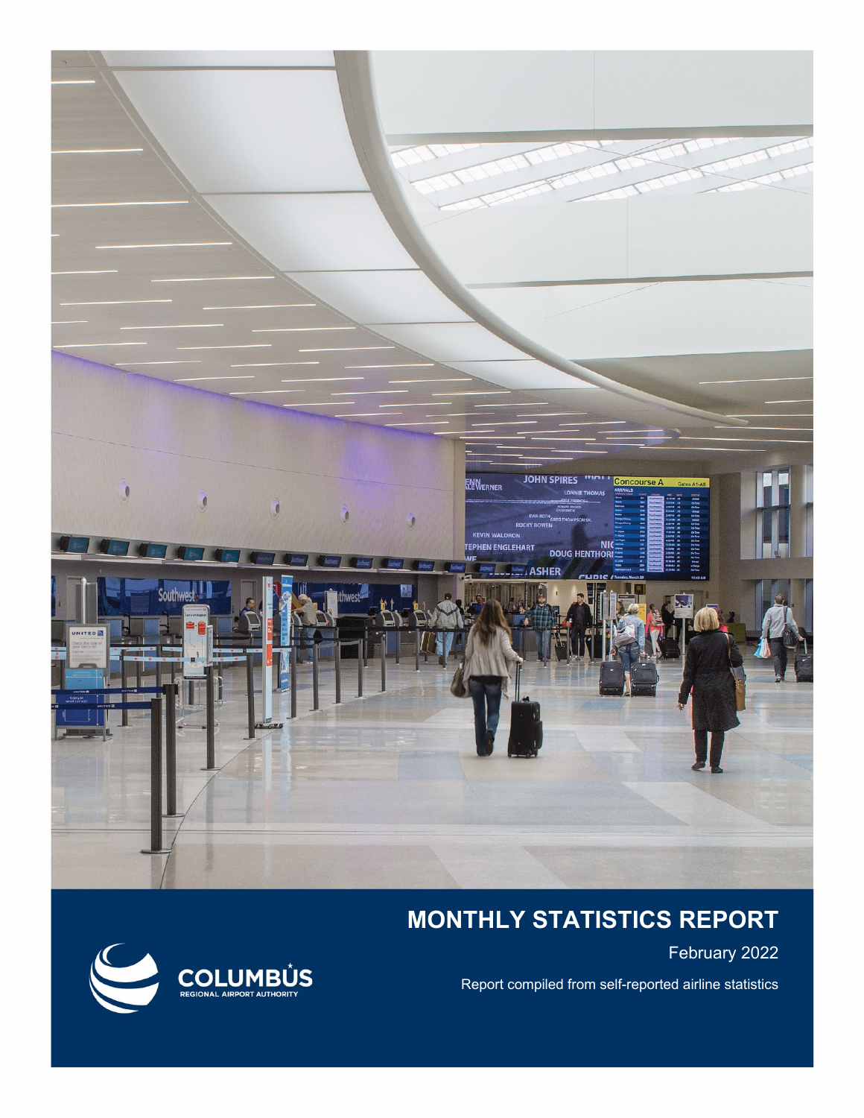

## **MONTHLY STATISTICS REPORT**

February 2022

Report compiled from self-reported airline statistics

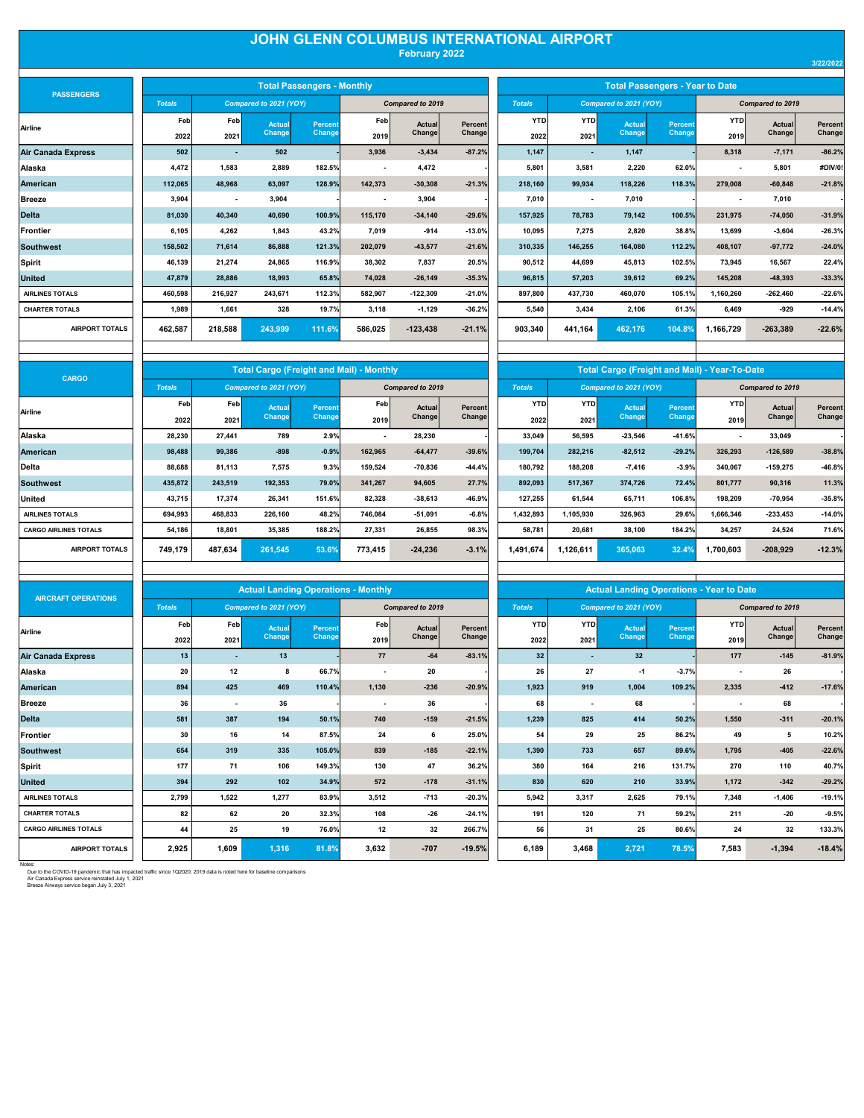## **JOHN GLENN COLUMBUS INTERNATIONAL AIRPORT February 2022**

| <b>PASSENGERS</b>      |
|------------------------|
| Airline                |
| Air Canada Express     |
| Alaska                 |
| American               |
| Breeze                 |
| <b>Delta</b>           |
| Frontier               |
| <b>Southwest</b>       |
| Spirit                 |
| United                 |
| <b>AIRLINES TOTALS</b> |
| <b>CHARTER TOTALS</b>  |
|                        |

| <b>PASSENGERS</b>         |               |                          |                        | <b>Total Passengers - Monthly</b> |         |                         |                |               |                          |                        | <b>Total Passengers - Year to Date</b> |           |                         |          |
|---------------------------|---------------|--------------------------|------------------------|-----------------------------------|---------|-------------------------|----------------|---------------|--------------------------|------------------------|----------------------------------------|-----------|-------------------------|----------|
|                           | <b>Totals</b> |                          | Compared to 2021 (YOY) |                                   |         | <b>Compared to 2019</b> |                | <b>Totals</b> |                          | Compared to 2021 (YOY) |                                        |           | <b>Compared to 2019</b> |          |
| Airline                   | Feb           | Feb                      | Actual                 | <b>Percent</b>                    | Feb     | Actual                  | <b>Percent</b> | <b>YTD</b>    | <b>YTD</b>               | Actual                 | Percent                                | YTD       | Actual                  | Percent  |
|                           | 2022          | 2021                     | Change                 | Change                            | 2019    | Change                  | Change         | 2022          | 2021                     | Change                 | Change                                 | 2019      | Change                  | Change   |
| <b>Air Canada Express</b> | 502           | $\overline{\phantom{a}}$ | 502                    |                                   | 3,936   | $-3,434$                | $-87.2%$       | 1,147         | $\overline{\phantom{0}}$ | 1,147                  |                                        | 8,318     | $-7,171$                | $-86.2%$ |
| Alaska                    | 4.472         | 1.583                    | 2,889                  | 182.5%                            |         | 4,472                   |                | 5,801         | 3,581                    | 2.220                  | 62.0%                                  | ٠         | 5,801                   | #DIV/0!  |
| American                  | 112,065       | 48,968                   | 63,097                 | 128.9%                            | 142,373 | $-30,308$               | $-21.3%$       | 218,160       | 99,934                   | 118,226                | 118.3%                                 | 279,008   | $-60,848$               | $-21.8%$ |
| Breeze                    | 3,904         | $\overline{\phantom{a}}$ | 3,904                  |                                   |         | 3,904                   |                | 7,010         | ٠                        | 7,010                  |                                        |           | 7,010                   |          |
| <b>Delta</b>              | 81.030        | 40.340                   | 40.690                 | 100.9%                            | 115.170 | $-34.140$               | $-29.6%$       | 157.925       | 78.783                   | 79,142                 | 100.5%                                 | 231,975   | $-74,050$               | $-31.9%$ |
| Frontier                  | 6,105         | 4.262                    | 1,843                  | 43.2%                             | 7,019   | $-914$                  | $-13.0%$       | 10,095        | 7.275                    | 2,820                  | 38.8%                                  | 13,699    | $-3,604$                | $-26.3%$ |
| Southwest                 | 158,502       | 71,614                   | 86,888                 | 121.3%                            | 202,079 | $-43.577$               | $-21.6%$       | 310,335       | 146,255                  | 164.080                | 112.2%                                 | 408.107   | $-97,772$               | $-24.0%$ |
| Spirit                    | 46.139        | 21,274                   | 24,865                 | 116.9%                            | 38,302  | 7.837                   | 20.5%          | 90,512        | 44.699                   | 45.813                 | 102.5%                                 | 73,945    | 16,567                  | 22.4%    |
| United                    | 47,879        | 28,886                   | 18,993                 | 65.8%                             | 74,028  | $-26,149$               | $-35.3%$       | 96,815        | 57,203                   | 39,612                 | 69.2%                                  | 145,208   | $-48,393$               | $-33.3%$ |
| <b>AIRLINES TOTALS</b>    | 460.598       | 216.927                  | 243.671                | 112.3%                            | 582.907 | $-122.309$              | $-21.0%$       | 897.800       | 437.730                  | 460.070                | 105.1%                                 | 1.160.260 | $-262,460$              | $-22.6%$ |
| <b>CHARTER TOTALS</b>     | 1.989         | 1,661                    | 328                    | 19.7%                             | 3,118   | $-1,129$                | $-36.2%$       | 5,540         | 3,434                    | 2,106                  | 61.3%                                  | 6,469     | $-929$                  | $-14.4%$ |
| <b>AIRPORT TOTALS</b>     | 462,587       | 218,588                  | 243,999                | 111.6%                            | 586,025 | $-123,438$              | $-21.1%$       | 903,340       | 441,164                  | 462,176                | 104.8%                                 | 1,166,729 | $-263,389$              | $-22.6%$ |
|                           |               |                          |                        |                                   |         |                         |                |               |                          |                        |                                        |           |                         |          |

|               | <b>Total Passengers - Monthly</b> |         |                         |          |               |                          |                        | <b>Total Passengers - Year to Date</b> |            |                  |          |
|---------------|-----------------------------------|---------|-------------------------|----------|---------------|--------------------------|------------------------|----------------------------------------|------------|------------------|----------|
| to 2021 (YOY) |                                   |         | <b>Compared to 2019</b> |          | <b>Totals</b> |                          | Compared to 2021 (YOY) |                                        |            | Compared to 2019 |          |
| <b>Actual</b> | <b>Percent</b>                    | Feb     | <b>Actual</b>           | Percent  | <b>YTD</b>    | <b>YTD</b>               | <b>Actual</b>          | <b>Percent</b>                         | <b>YTD</b> | <b>Actual</b>    | Percent  |
| Change,       | <b>Change</b>                     | 2019    | Change                  | Change   | 2022          | 2021                     | Change                 | Change                                 | 2019       | Change           | Change   |
| 502           |                                   | 3,936   | $-3,434$                | $-87.2%$ | 1,147         | ٠                        | 1,147                  |                                        | 8,318      | $-7,171$         | $-86.2%$ |
| 2,889         | 182.5%                            |         | 4,472                   |          | 5,801         | 3,581                    | 2,220                  | 62.0%                                  | ٠          | 5,801            | #DIV/0!  |
| 63,097        | 128.9%                            | 142,373 | $-30,308$               | $-21.3%$ | 218,160       | 99,934                   | 118,226                | 118.3%                                 | 279,008    | $-60,848$        | $-21.8%$ |
| 3,904         |                                   |         | 3,904                   |          | 7,010         | $\overline{\phantom{a}}$ | 7,010                  |                                        | ٠          | 7,010            |          |
| 40,690        | 100.9%                            | 115,170 | $-34,140$               | $-29.6%$ | 157,925       | 78,783                   | 79,142                 | 100.5%                                 | 231,975    | $-74,050$        | $-31.9%$ |
| 1,843         | 43.2%                             | 7,019   | $-914$                  | $-13.0%$ | 10,095        | 7,275                    | 2,820                  | 38.8%                                  | 13,699     | $-3,604$         | $-26.3%$ |
| 86,888        | 121.3%                            | 202,079 | $-43,577$               | $-21.6%$ | 310,335       | 146,255                  | 164,080                | 112.2%                                 | 408,107    | $-97,772$        | $-24.0%$ |
| 24.865        | 116.9%                            | 38,302  | 7,837                   | 20.5%    | 90,512        | 44,699                   | 45.813                 | 102.5%                                 | 73.945     | 16,567           | 22.4%    |
| 18,993        | 65.8%                             | 74,028  | $-26,149$               | $-35.3%$ | 96,815        | 57,203                   | 39,612                 | 69.2%                                  | 145,208    | $-48,393$        | $-33.3%$ |
| 243,671       | 112.3%                            | 582,907 | -122,309                | $-21.0%$ | 897,800       | 437,730                  | 460,070                | 105.1%                                 | 1,160,260  | $-262,460$       | $-22.6%$ |
| 328           | 19.7%                             | 3,118   | $-1,129$                | $-36.2%$ | 5,540         | 3,434                    | 2,106                  | 61.3%                                  | 6,469      | $-929$           | $-14.4%$ |
| 243,999       | 111.6%                            | 586,025 | $-123,438$              | $-21.1%$ | 903,340       | 441,164                  | 462,176                | 104.8%                                 | 1,166,729  | $-263,389$       | $-22.6%$ |

| <b>CARGO</b>                 |               |         | <b>Total Cargo (Freight and Mail) - Monthly</b> |                |         |                  |                |               |            | <b>Total Cargo (Freight and Mail) - Year-To-Date</b> |          |            |                  |          |
|------------------------------|---------------|---------|-------------------------------------------------|----------------|---------|------------------|----------------|---------------|------------|------------------------------------------------------|----------|------------|------------------|----------|
|                              | <b>Totals</b> |         | Compared to 2021 (YOY)                          |                |         | Compared to 2019 |                | <b>Totals</b> |            | Compared to 2021 (YOY)                               |          |            | Compared to 2019 |          |
| Airline                      | Feb           | Feb     | Actual                                          | <b>Percent</b> | Feb     | Actual           | <b>Percent</b> | <b>YTD</b>    | <b>YTD</b> | Actual                                               | Percent  | <b>YTD</b> | Actual           | Percent  |
|                              | 2022          | 2021    | Change                                          | Change         | 2019    | Change           | Changel        | 2022          | 2021       | <b>Change</b>                                        | Change   | 2019       | Change           | Change   |
| Alaska                       | 28,230        | 27,441  | 789                                             | 2.9%           |         | 28,230           |                | 33,049        | 56,595     | $-23,546$                                            | $-41.6%$ |            | 33,049           |          |
| <b>American</b>              | 98,488        | 99,386  | $-898$                                          | $-0.9%$        | 162,965 | $-64,477$        | $-39.6%$       | 199,704       | 282,216    | $-82,512$                                            | $-29.2%$ | 326,293    | $-126,589$       | $-38.8%$ |
| Delta                        | 88,688        | 81,113  | 7,575                                           | 9.3%           | 159,524 | $-70,836$        | $-44.4%$       | 180,792       | 188,208    | $-7,416$                                             | $-3.9%$  | 340.067    | $-159,275$       | $-46.8%$ |
| <b>Southwest</b>             | 435,872       | 243,519 | 192,353                                         | 79.0%          | 341,267 | 94,605           | 27.7%          | 892,093       | 517,367    | 374,726                                              | 72.4%    | 801,777    | 90,316           | 11.3%    |
| United                       | 43.715        | 17,374  | 26,341                                          | 151.6%         | 82,328  | $-38,613$        | $-46.9%$       | 127,255       | 61,544     | 65,711                                               | 106.8%   | 198,209    | $-70,954$        | $-35.8%$ |
| <b>AIRLINES TOTALS</b>       | 694,993       | 468,833 | 226,160                                         | 48.2%          | 746,084 | $-51,091$        | $-6.8%$        | 1,432,893     | 1,105,930  | 326,963                                              | 29.6%    | 1,666,346  | $-233,453$       | $-14.0%$ |
| <b>CARGO AIRLINES TOTALS</b> | 54,186        | 18,801  | 35,385                                          | 188.2%         | 27,331  | 26,855           | 98.3%          | 58,781        | 20,681     | 38,100                                               | 184.2%   | 34,257     | 24,524           | 71.6%    |
| <b>AIRPORT TOTALS</b>        | 749,179       | 487,634 | 261,545                                         | 53.6%          | 773,415 | $-24,236$        | $-3.1%$        | 1,491,674     | 1,126,611  | 365,063                                              | 32.4%    | 1,700,603  | $-208,929$       | $-12.3%$ |
|                              |               |         |                                                 |                |         |                  |                |               |            |                                                      |          |            |                  |          |

|               |            | <b>Total Cargo (Freight and Mail) - Year-To-Date</b> |                |            |                  |                |
|---------------|------------|------------------------------------------------------|----------------|------------|------------------|----------------|
| <b>Totals</b> |            | Compared to 2021 (YOY)                               |                |            | Compared to 2019 |                |
| <b>YTD</b>    | <b>YTD</b> | <b>Actual</b>                                        | <b>Percent</b> | <b>YTD</b> | <b>Actual</b>    | <b>Percent</b> |
| 2022          | 2021       | Change                                               | <b>Change</b>  | 2019       | Change           | Change         |
| 33,049        | 56,595     | $-23,546$                                            | $-41.6%$       |            | 33.049           |                |
| 199,704       | 282,216    | $-82,512$                                            | $-29.2%$       | 326,293    | $-126,589$       | $-38.8%$       |
| 180,792       | 188,208    | $-7.416$                                             | $-3.9%$        | 340,067    | $-159,275$       | $-46.8%$       |
| 892,093       | 517,367    | 374,726                                              | 72.4%          | 801,777    | 90,316           | 11.3%          |
| 127,255       | 61.544     | 65,711                                               | 106.8%         | 198,209    | $-70.954$        | $-35.8%$       |
| 1,432,893     | 1,105,930  | 326,963                                              | 29.6%          | 1,666,346  | $-233,453$       | $-14.0%$       |
| 58,781        | 20,681     | 38,100                                               | 184.2%         | 34,257     | 24,524           | 71.6%          |
| 1,491,674     | 1,126,611  | 365.063                                              | 32.4%          | 1,700,603  | $-208.929$       | $-12.3%$       |

| <b>AIRCRAFT OPERATIONS</b>   |               |                          |                        |               | <b>Actual Landing Operations - Monthly</b> |                  |          |               |                          |                        |         | <b>Actual Landing Operations - Year to Date</b> |                         |          |
|------------------------------|---------------|--------------------------|------------------------|---------------|--------------------------------------------|------------------|----------|---------------|--------------------------|------------------------|---------|-------------------------------------------------|-------------------------|----------|
|                              | <b>Totals</b> |                          | Compared to 2021 (YOY) |               |                                            | Compared to 2019 |          | <b>Totals</b> |                          | Compared to 2021 (YOY) |         |                                                 | <b>Compared to 2019</b> |          |
| Airline                      | Feb           | Feb                      | Actual                 | Percent       | Feb                                        | Actual           | Percent  | <b>YTD</b>    | <b>YTD</b>               | <b>Actual</b>          | Percent | YTD                                             | Actual                  | Percent  |
|                              | 2022          | 2021                     | Change                 | <b>Change</b> | 2019                                       | Change           | Change   | 2022          | 2021                     | <b>Change</b>          | Change  | 2019                                            | Change                  | Change   |
| <b>Air Canada Express</b>    | 13            | $\overline{\phantom{a}}$ | 13                     |               | 77                                         | $-64$            | $-83.1%$ | 32            | $\overline{\phantom{a}}$ | 32                     |         | 177                                             | $-145$                  | $-81.9%$ |
| Alaska                       | 20            | 12                       | 8                      | 66.7%         |                                            | 20               |          | 26            | 27                       | $-1$                   | $-3.7%$ | ٠                                               | 26                      |          |
| American                     | 894           | 425                      | 469                    | 110.4%        | 1,130                                      | $-236$           | $-20.9%$ | 1,923         | 919                      | 1,004                  | 109.2%  | 2,335                                           | $-412$                  | $-17.6%$ |
| Breeze                       | 36            | $\overline{\phantom{a}}$ | 36                     |               |                                            | 36               |          | 68            |                          | 68                     |         | ٠                                               | 68                      |          |
| <b>Delta</b>                 | 581           | 387                      | 194                    | 50.1%         | 740                                        | $-159$           | $-21.5%$ | 1.239         | 825                      | 414                    | 50.2%   | 1.550                                           | $-311$                  | $-20.1%$ |
| Frontier                     | 30            | 16                       | 14                     | 87.5%         | 24                                         | 6                | 25.0%    | 54            | 29                       | 25                     | 86.2%   | 49                                              | 5                       | 10.2%    |
| <b>Southwest</b>             | 654           | 319                      | 335                    | 105.0%        | 839                                        | $-185$           | $-22.1%$ | 1,390         | 733                      | 657                    | 89.6%   | 1,795                                           | $-405$                  | $-22.6%$ |
| Spirit                       | 177           | 71                       | 106                    | 149.3%        | 130                                        | 47               | 36.2%    | 380           | 164                      | 216                    | 131.7%  | 270                                             | 110                     | 40.7%    |
| <b>United</b>                | 394           | 292                      | 102                    | 34.9%         | 572                                        | $-178$           | $-31.1%$ | 830           | 620                      | 210                    | 33.9%   | 1,172                                           | $-342$                  | $-29.2%$ |
| <b>AIRLINES TOTALS</b>       | 2,799         | 1,522                    | 1,277                  | 83.9%         | 3,512                                      | $-713$           | $-20.3%$ | 5,942         | 3,317                    | 2,625                  | 79.1%   | 7,348                                           | $-1,406$                | $-19.1%$ |
| <b>CHARTER TOTALS</b>        | 82            | 62                       | 20                     | 32.3%         | 108                                        | $-26$            | $-24.1%$ | 191           | 120                      | 71                     | 59.2%   | 211                                             | $-20$                   | $-9.5%$  |
| <b>CARGO AIRLINES TOTALS</b> | 44            | 25                       | 19                     | 76.0%         | 12                                         | 32               | 266.7%   | 56            | 31                       | 25                     | 80.6%   | 24                                              | 32                      | 133.3%   |
| <b>AIRPORT TOTALS</b>        | 2.925         | 1.609                    | 1.316                  | 81.8%         | 3.632                                      | $-707$           | $-19.5%$ | 6.189         | 3.468                    | 2.721                  | 78.5%   | 7.583                                           | $-1.394$                | $-18.4%$ |

|                       |               |       | <b>Actual Landing Operations - Monthly</b> |                |       |                  |          |               |                          | <b>Actual Landing Operations - Year to Date</b> |                |                          |                  |          |
|-----------------------|---------------|-------|--------------------------------------------|----------------|-------|------------------|----------|---------------|--------------------------|-------------------------------------------------|----------------|--------------------------|------------------|----------|
| <b>OPERATIONS</b>     | <b>Totals</b> |       | Compared to 2021 (YOY)                     |                |       | Compared to 2019 |          | <b>Totals</b> |                          | Compared to 2021 (YOY)                          |                |                          | Compared to 2019 |          |
|                       | Feb           | Feb   | Actual                                     | <b>Percent</b> | Feb   | Actual           | Percent  | <b>YTD</b>    | <b>YTD</b>               | <b>Actual</b>                                   | <b>Percent</b> | <b>YTD</b>               | Actual           | Percent  |
|                       | 2022          | 2021  | Change                                     | Change         | 2019  | Change           | Change   | 2022          | 2021                     | Change,                                         | Change         | 2019                     | Changel          | Change   |
| xpress                | 13            |       | 13                                         |                | 77    | $-64$            | $-83.1%$ | 32            | $\sim$                   | 32                                              |                | 177                      | $-145$           | $-81.9%$ |
|                       | 20            | 12    | 8                                          | 66.7%          | ٠     | 20               |          | 26            | 27                       | $-1$                                            | $-3.7%$        | $\overline{\phantom{a}}$ | 26               |          |
|                       | 894           | 425   | 469                                        | 110.4%         | 1,130 | $-236$           | $-20.9%$ | 1,923         | 919                      | 1,004                                           | 109.2%         | 2,335                    | $-412$           | $-17.6%$ |
|                       | 36            |       | 36                                         |                | ٠     | 36               |          | 68            | $\overline{\phantom{a}}$ | 68                                              |                | $\overline{\phantom{a}}$ | 68               |          |
|                       | 581           | 387   | 194                                        | 50.1%          | 740   | $-159$           | $-21.5%$ | 1,239         | 825                      | 414                                             | 50.2%          | 1,550                    | $-311$           | $-20.1%$ |
|                       | 30            | 16    | 14                                         | 87.5%          | 24    | 6                | 25.0%    | 54            | 29                       | 25                                              | 86.2%          | 49                       | 5                | 10.2%    |
|                       | 654           | 319   | 335                                        | 105.0%         | 839   | $-185$           | $-22.1%$ | 1,390         | 733                      | 657                                             | 89.6%          | 1.795                    | $-405$           | $-22.6%$ |
|                       | 177           | 71    | 106                                        | 149.3%         | 130   | 47               | 36.2%    | 380           | 164                      | 216                                             | 131.7%         | 270                      | 110              | 40.7%    |
|                       | 394           | 292   | 102                                        | 34.9%          | 572   | $-178$           | $-31.1%$ | 830           | 620                      | 210                                             | 33.9%          | 1,172                    | $-342$           | $-29.2%$ |
| LS                    | 2,799         | 1,522 | 1,277                                      | 83.9%          | 3,512 | $-713$           | $-20.3%$ | 5,942         | 3,317                    | 2,625                                           | 79.1%          | 7,348                    | $-1,406$         | $-19.1%$ |
| <b>LS</b>             | 82            | 62    | 20                                         | 32.3%          | 108   | $-26$            | $-24.1%$ | 191           | 120                      | 71                                              | 59.2%          | 211                      | $-20$            | $-9.5%$  |
| <b>S TOTALS</b>       | 44            | 25    | 19                                         | 76.0%          | 12    | 32               | 266.7%   | 56            | 31                       | 25                                              | 80.6%          | 24                       | 32               | 133.3%   |
| <b>AIRPORT TOTALS</b> | 2,925         | 1,609 | 1,316                                      | 81.8%          | 3,632 | $-707$           | $-19.5%$ | 6,189         | 3,468                    | 2,721                                           | 78.5%          | 7,583                    | $-1,394$         | $-18.4%$ |

Notes:<br>Due to the COVID-19 pandemic that has impacted traffic since 1Q2020, 2019 data is noted here for baseline comparisons<br>Air Canada Express service began July 3, 2021<br>Breeze Airways service began July 3, 2021

**3/22/2022**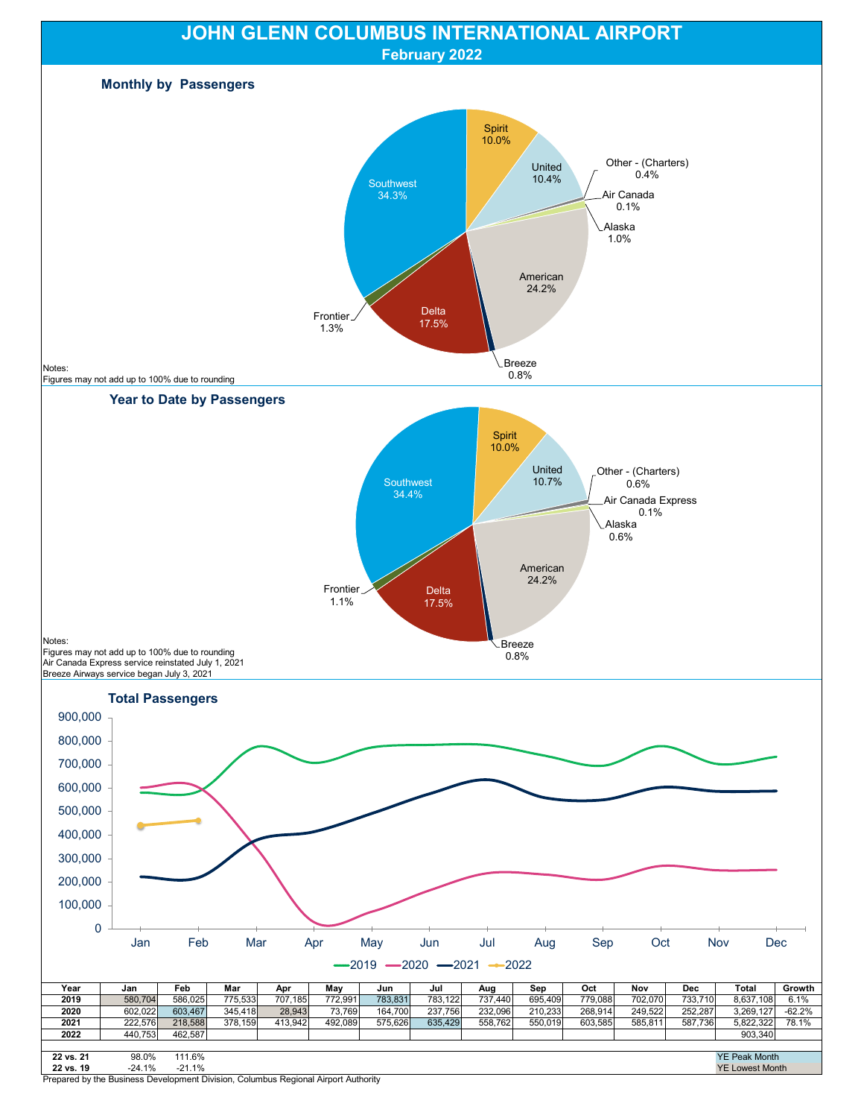

Prepared by the Business Development Division, Columbus Regional Airport Authority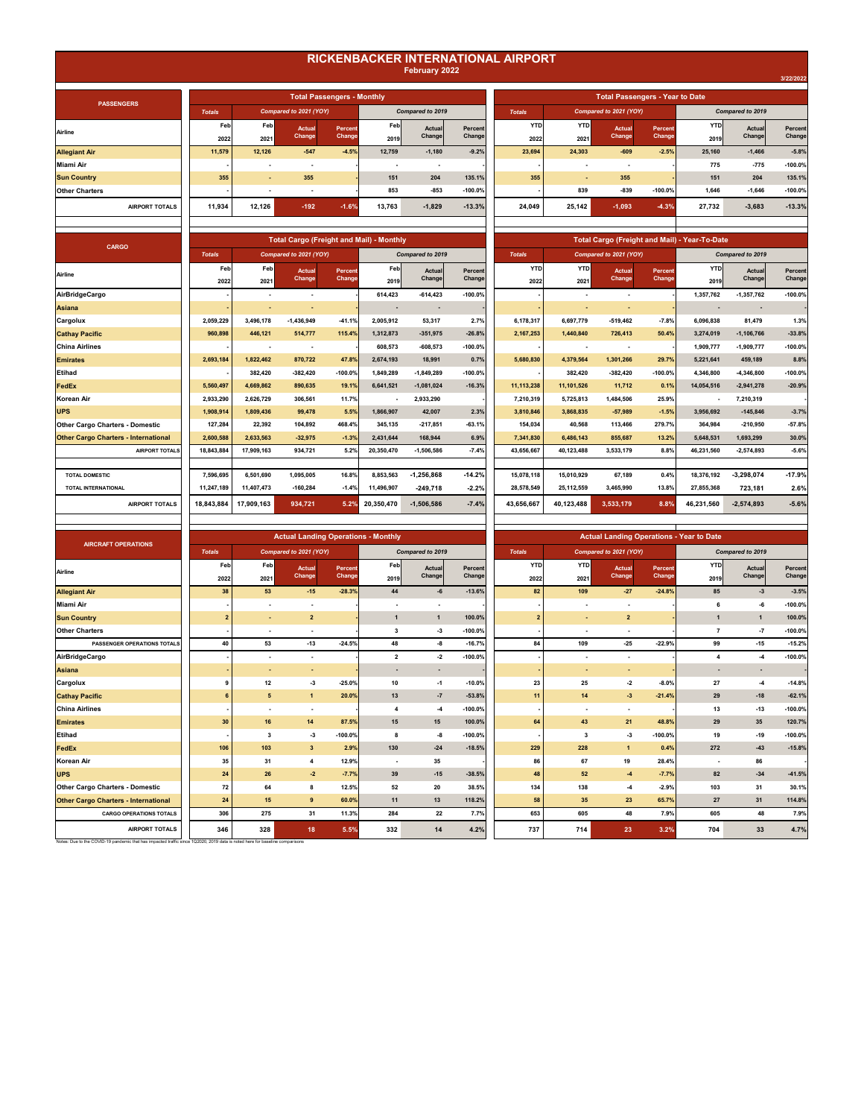## **RICKENBACKER INTERNATIONAL AIRPORT February 2022**

|               | <b>Total Passengers - Monthly</b> |        |                  |            |               |            |                        | <b>Total Passengers - Year to Date</b> |            |                  |           |
|---------------|-----------------------------------|--------|------------------|------------|---------------|------------|------------------------|----------------------------------------|------------|------------------|-----------|
| to 2021 (YOY) |                                   |        | Compared to 2019 |            | <b>Totals</b> |            | Compared to 2021 (YOY) |                                        |            | Compared to 2019 |           |
| Actual        | <b>Percent</b>                    | Feb    | Actual           | Percent    | <b>YTD</b>    | <b>YTD</b> | Actual                 | Percent                                | <b>YTD</b> | Actual           | Percent   |
| <b>Change</b> | Change                            | 2019   | Change           | Change     | 2022          | 2021       | <b>Change</b>          | <b>Change</b>                          | 2019       | Change           | Change    |
| $-547$        | $-4.5%$                           | 12,759 | $-1,180$         | $-9.2%$    | 23,694        | 24,303     | $-609$                 | $-2.5%$                                | 25,160     | $-1,466$         | $-5.8%$   |
| ٠             |                                   | ۰.     |                  |            |               |            | ۰                      |                                        | 775        | $-775$           | $-100.0%$ |
| 355           |                                   | 151    | 204              | 135.1%     | 355           | ۰.         | 355                    |                                        | 151        | 204              | 135.1%    |
| ٠             |                                   | 853    | $-853$           | $-100.0\%$ | ۰             | 839        | $-839$                 | $-100.0%$                              | 1.646      | $-1.646$         | $-100.0%$ |
| $-192$        | $-1.6%$                           | 13,763 | $-1,829$         | $-13.3%$   | 24,049        | 25,142     | $-1,093$               | $-4.3%$                                | 27,732     | $-3,683$         | $-13.3%$  |
|               |                                   |        |                  |            |               |            |                        |                                        |            |                  |           |

|   | <b>Total Cargo (Freight and Mail) - Monthly</b> |                   |                          |                         |                   |                    |                    |                        |                   | <b>Total Cargo (Freight and Mail) - Year-To-Date</b> |                  |                   |
|---|-------------------------------------------------|-------------------|--------------------------|-------------------------|-------------------|--------------------|--------------------|------------------------|-------------------|------------------------------------------------------|------------------|-------------------|
|   | mpared to 2021 (YOY)                            |                   |                          | Compared to 2019        |                   | <b>Totals</b>      |                    | Compared to 2021 (YOY) |                   |                                                      | Compared to 2019 |                   |
| b | Actual<br>Change                                | Percent<br>Change | Feb<br>2019              | <b>Actual</b><br>Change | Percent<br>Change | <b>YTD</b><br>2022 | <b>YTD</b><br>2021 | Actual<br>Change       | Percent<br>Change | <b>YTD</b><br>2019                                   | Actual<br>Change | Percent<br>Change |
|   |                                                 |                   | 614,423                  | $-614, 423$             | $-100.0%$         |                    |                    |                        |                   | 1,357,762                                            | $-1,357,762$     | $-100.0%$         |
|   |                                                 |                   |                          |                         |                   |                    |                    |                        |                   |                                                      |                  |                   |
|   | $-1,436,949$                                    | $-41.1%$          | 2,005,912                | 53,317                  | 2.7%              | 6,178,317          | 6,697,779          | $-519,462$             | $-7.8%$           | 6,096,838                                            | 81,479           | 1.3%              |
|   | 514,777                                         | 115.4%            | 1,312,873                | $-351,975$              | $-26.8%$          | 2,167,253          | 1,440,840          | 726,413                | 50.4%             | 3,274,019                                            | $-1,106,766$     | $-33.8%$          |
|   |                                                 |                   | 608,573                  | $-608,573$              | $-100.0%$         |                    | ٠                  |                        |                   | 1,909,777                                            | $-1,909,777$     | $-100.0%$         |
|   | 870,722                                         | 47.8%             | 2,674,193                | 18,991                  | 0.7%              | 5,680,830          | 4,379,564          | 1,301,266              | 29.7%             | 5,221,641                                            | 459,189          | 8.8%              |
|   | $-382,420$                                      | $-100.0%$         | 1,849,289                | $-1,849,289$            | $-100.0%$         | ٠                  | 382,420            | $-382,420$             | $-100.0%$         | 4,346,800                                            | $-4,346,800$     | $-100.0%$         |
|   | 890,635                                         | 19.1%             | 6,641,521                | $-1,081,024$            | $-16.3%$          | 11,113,238         | 11,101,526         | 11,712                 | 0.1%              | 14,054,516                                           | $-2,941,278$     | $-20.9%$          |
|   | 306,561                                         | 11.7%             | $\overline{\phantom{a}}$ | 2,933,290               |                   | 7,210,319          | 5,725,813          | 1,484,506              | 25.9%             | $\overline{\phantom{a}}$                             | 7,210,319        |                   |
|   | 99,478                                          | 5.5%              | 1,866,907                | 42,007                  | 2.3%              | 3,810,846          | 3,868,835          | $-57,989$              | $-1.5%$           | 3,956,692                                            | $-145,846$       | $-3.7%$           |
|   | 104,892                                         | 468.4%            | 345,135                  | $-217,851$              | $-63.1%$          | 154,034            | 40,568             | 113,466                | 279.7%            | 364,984                                              | $-210,950$       | $-57.8%$          |
|   | $-32,975$                                       | $-1.3%$           | 2,431,644                | 168,944                 | 6.9%              | 7,341,830          | 6,486,143          | 855,687                | 13.2%             | 5.648.531                                            | 1,693,299        | 30.0%             |
|   | 934,721                                         | 5.2%              | 20,350,470               | $-1,506,586$            | $-7.4%$           | 43,656,667         | 40,123,488         | 3,533,179              | 8.8%              | 46,231,560                                           | $-2,574,893$     | $-5.6%$           |
|   |                                                 |                   |                          |                         |                   |                    |                    |                        |                   |                                                      |                  |                   |
|   | 1,095,005                                       | 16.8%             | 8,853,563                | $-1,256,868$            | $-14.2%$          | 15,078,118         | 15,010,929         | 67,189                 | 0.4%              | 18,376,192                                           | $-3,298,074$     | $-17.9%$          |
|   | $-160,284$                                      | $-1.4%$           | 11,496,907               | $-249,718$              | $-2.2%$           | 28,578,549         | 25, 112, 559       | 3,465,990              | 13.8%             | 27,855,368                                           | 723,181          | 2.6%              |
|   | 934,721                                         | 5.2%              | 20.350.470               | $-1.506.586$            | $-7.4%$           | 43.656.667         | 40,123,488         | 3,533,179              | 8.8%              | 46.231.560                                           | $-2.574.893$     | $-5.6%$           |

| <b>PASSENGERS</b>     |               |        |                          | <b>Total Passengers - Monthly</b> |        |                  |            |               |            | <b>Total Passengers - Year to Date</b> |           |        |                  |           |
|-----------------------|---------------|--------|--------------------------|-----------------------------------|--------|------------------|------------|---------------|------------|----------------------------------------|-----------|--------|------------------|-----------|
|                       | <b>Totals</b> |        | Compared to 2021 (YOY)   |                                   |        | Compared to 2019 |            | <b>Totals</b> |            | Compared to 2021 (YOY)                 |           |        | Compared to 2019 |           |
| Airline               | Feb           | Feb    | Actual                   | Percent                           | Feb    | Actual           | Percent    | <b>YTD</b>    | <b>YTD</b> | Actual                                 | Percent   | YTD    | Actual           | Percent   |
|                       | 2022          | 2021   | Change                   | Change                            | 2019   | Change           | Change     | 2022          | 2021       | Change                                 | Change    | 2019   | Change           | Change    |
| <b>Allegiant Air</b>  | 11,579        | 12.126 | $-547$                   | $-4.5%$                           | 12.759 | $-1,180$         | $-9.2%$    | 23,694        | 24.303     | $-609$                                 | $-2.5%$   | 25,160 | $-1,466$         | $-5.8%$   |
| Miami Air             |               | ٠      | ٠                        |                                   |        |                  |            |               |            |                                        |           | 775    | $-775$           | $-100.0%$ |
| <b>Sun Country</b>    | 355           |        | 355                      |                                   | 151    | 204              | 135.1%     | 355           |            | 355                                    |           | 151    | 204              | 135.1%    |
| <b>Other Charters</b> |               | ٠      | $\overline{\phantom{a}}$ |                                   | 853    | $-853$           | $-100.0\%$ |               | 839        | $-839$                                 | $-100.0%$ | 1.646  | $-1,646$         | $-100.0%$ |
| <b>AIRPORT TOTALS</b> | 11.934        | 12,126 | $-192$                   | $-1.6%$                           | 13.763 | $-1,829$         | $-13.3%$   | 24.049        | 25.142     | $-1,093$                               | $-4.3%$   | 27.732 | $-3,683$         | $-13.3%$  |
|                       |               |        |                          |                                   |        |                  |            |               |            |                                        |           |        |                  |           |

| CARGO                                       |               |            | <b>Total Cargo (Freight and Mail) - Monthly</b> |           |            |                  |           |               |            |                        |           | Total Cargo (Freight and Mail) - Year-To-Date |                  |           |
|---------------------------------------------|---------------|------------|-------------------------------------------------|-----------|------------|------------------|-----------|---------------|------------|------------------------|-----------|-----------------------------------------------|------------------|-----------|
|                                             | <b>Totals</b> |            | Compared to 2021 (YOY)                          |           |            | Compared to 2019 |           | <b>Totals</b> |            | Compared to 2021 (YOY) |           |                                               | Compared to 2019 |           |
| Airline                                     | Feb           | Feb        | Actual                                          | Percent   | Feb        | <b>Actual</b>    | Percent   | <b>YTD</b>    | <b>YTD</b> | Actual                 | Percent   | <b>YTD</b>                                    | Actual           | Percent   |
|                                             | 2022          | 2021       | Change                                          | Change    | 2019       | Change           | Change    | 2022          | 2021       | Change                 | Change    | 2019                                          | Change           | Change    |
| <b>AirBridgeCargo</b>                       |               |            | $\overline{\phantom{a}}$                        |           | 614,423    | $-614, 423$      | $-100.0%$ |               |            |                        |           | 1,357,762                                     | $-1,357,762$     | $-100.0%$ |
| Asiana                                      |               | ٠          | ۰.                                              |           |            |                  |           |               |            |                        |           |                                               |                  |           |
| Cargolux                                    | 2,059,229     | 3,496,178  | $-1,436,949$                                    | $-41.1%$  | 2,005,912  | 53,317           | 2.7%      | 6,178,317     | 6,697,779  | $-519,462$             | $-7.8%$   | 6,096,838                                     | 81,479           | 1.3%      |
| <b>Cathay Pacific</b>                       | 960.898       | 446.121    | 514,777                                         | 115.4%    | 1.312.873  | $-351.975$       | $-26.8%$  | 2,167,253     | 1.440.840  | 726,413                | 50.4%     | 3.274.019                                     | $-1.106.766$     | $-33.8%$  |
| China Airlines                              |               |            | $\overline{\phantom{a}}$                        |           | 608.573    | $-608,573$       | $-100.0%$ |               |            |                        |           | 1.909.777                                     | $-1,909,777$     | $-100.0%$ |
| <b>Emirates</b>                             | 2,693,184     | 1.822.462  | 870,722                                         | 47.8%     | 2.674.193  | 18.991           | 0.7%      | 5,680,830     | 4,379,564  | 1,301,266              | 29.7%     | 5.221.641                                     | 459,189          | 8.8%      |
| Etihad                                      |               | 382.420    | $-382,420$                                      | $-100.0%$ | 1.849.289  | $-1,849,289$     | $-100.0%$ |               | 382.420    | $-382,420$             | $-100.0%$ | 4,346,800                                     | $-4,346,800$     | $-100.0%$ |
| FedEx                                       | 5.560.497     | 4.669.862  | 890.635                                         | 19.1%     | 6.641.521  | $-1.081.024$     | $-16.3%$  | 11, 113, 238  | 11.101.526 | 11,712                 | 0.1%      | 14.054.516                                    | $-2,941,278$     | $-20.9%$  |
| Korean Air                                  | 2,933,290     | 2.626.729  | 306,561                                         | 11.7%     |            | 2,933,290        |           | 7,210,319     | 5,725,813  | 1,484,506              | 25.9%     |                                               | 7,210,319        |           |
| <b>UPS</b>                                  | 1,908,914     | 1.809.436  | 99,478                                          | 5.5%      | 1.866.907  | 42,007           | 2.3%      | 3,810,846     | 3.868.835  | $-57,989$              | $-1.5%$   | 3.956.692                                     | $-145,846$       | $-3.7%$   |
| <b>Other Cargo Charters - Domestic</b>      | 127,284       | 22,392     | 104.892                                         | 468.4%    | 345.135    | $-217.851$       | $-63.1%$  | 154,034       | 40.568     | 113,466                | 279.7%    | 364.984                                       | $-210,950$       | $-57.8%$  |
| <b>Other Cargo Charters - International</b> | 2.600.588     | 2,633,563  | $-32.975$                                       | $-1.3%$   | 2.431.644  | 168.944          | 6.9%      | 7,341,830     | 6,486,143  | 855,687                | 13.2%     | 5.648.531                                     | 1,693,299        | 30.0%     |
| <b>AIRPORT TOTALS</b>                       | 18,843,884    | 17.909.163 | 934,721                                         | 5.2%      | 20,350,470 | $-1,506,586$     | $-7.4%$   | 43.656.667    | 40,123,488 | 3,533,179              | 8.8%      | 46.231.560                                    | $-2,574,893$     | $-5.6%$   |
|                                             |               |            |                                                 |           |            |                  |           |               |            |                        |           |                                               |                  |           |
| <b>TOTAL DOMESTIC</b>                       | 7.596.695     | 6,501,690  | 1,095,005                                       | 16.8%     | 8,853,563  | $-1.256.868$     | $-14.2%$  | 15,078,118    | 15,010,929 | 67,189                 | 0.4%      | 18,376,192                                    | $-3.298.074$     | $-17.9%$  |
| <b>TOTAL INTERNATIONAL</b>                  | 11.247.189    | 11.407.473 | $-160.284$                                      | $-1.4%$   | 11,496,907 | $-249.718$       | $-2.2%$   | 28.578.549    | 25.112.559 | 3.465.990              | 13.8%     | 27.855.368                                    | 723.181          | 2.6%      |
| <b>AIRPORT TOTALS</b>                       | 18,843,884    | 17.909.163 | 934,721                                         | 5.2%      | 20,350,470 | $-1,506,586$     | $-7.4%$   | 43,656,667    | 40,123,488 | 3,533,179              | 8.8%      | 46,231,560                                    | $-2,574,893$     | $-5.6%$   |

|                                             |                |                          | <b>Actual Landing Operations - Monthly</b> |                   |                          |                          |                   |                    |                          |                          |                   | <b>Actual Landing Operations - Year to Date</b> |                  |                   |
|---------------------------------------------|----------------|--------------------------|--------------------------------------------|-------------------|--------------------------|--------------------------|-------------------|--------------------|--------------------------|--------------------------|-------------------|-------------------------------------------------|------------------|-------------------|
| <b>AIRCRAFT OPERATIONS</b>                  | <b>Totals</b>  |                          | Compared to 2021 (YOY)                     |                   |                          | Compared to 2019         |                   | <b>Totals</b>      |                          | Compared to 2021 (YOY)   |                   |                                                 | Compared to 2019 |                   |
| Airline                                     | Feb<br>2022    | Feb<br>2021              | Actual<br>Change                           | Percent<br>Change | Feb<br>2019              | Actual<br>Change         | Percent<br>Change | <b>YTD</b><br>2022 | <b>YTD</b><br>2021       | Actual<br>Change         | Percent<br>Change | <b>YTD</b><br>2019                              | Actual<br>Change | Percent<br>Change |
| <b>Allegiant Air</b>                        | 38             | 53                       | $-15$                                      | $-28.3%$          | 44                       | -6                       | $-13.6%$          | 82                 | 109                      | $-27$                    | $-24.8%$          | 85                                              | $-3$             | $-3.5%$           |
| <b>Miami Air</b>                            |                | ٠                        | $\overline{\phantom{a}}$                   |                   | $\overline{\phantom{a}}$ | $\overline{\phantom{a}}$ |                   |                    |                          | $\blacksquare$           |                   | 6                                               | -6               | $-100.0%$         |
| <b>Sun Country</b>                          | $\overline{2}$ | ٠                        | $\overline{2}$                             |                   | $\mathbf{1}$             | $\mathbf{1}$             | 100.0%            | $\overline{2}$     |                          | $\overline{2}$           |                   | $\mathbf{1}$                                    | $\mathbf{1}$     | 100.0%            |
| <b>Other Charters</b>                       |                | $\overline{\phantom{a}}$ |                                            |                   | 3                        | -3                       | $-100.0%$         |                    | $\overline{\phantom{a}}$ | $\overline{\phantom{a}}$ |                   | $\overline{\phantom{a}}$                        | $\cdot 7$        | $-100.0%$         |
| PASSENGER OPERATIONS TOTALS                 | 40             | 53                       | $-13$                                      | $-24.5%$          | 48                       | -8                       | $-16.7%$          | 84                 | 109                      | $-25$                    | $-22.9%$          | 99                                              | $-15$            | $-15.2%$          |
| AirBridgeCargo                              |                | $\overline{\phantom{a}}$ | $\sim$                                     |                   | $\overline{2}$           | $-2$                     | $-100.0%$         |                    | ٠                        | $\overline{\phantom{a}}$ |                   | $\overline{\mathbf{4}}$                         | $-4$             | $-100.0%$         |
| <b>Asiana</b>                               |                | $\sim$                   | ٠                                          |                   | $\overline{\phantom{a}}$ | $\sim$                   |                   | ٠                  | $\overline{\phantom{a}}$ | ٠                        |                   | ۰                                               | $\sim$           |                   |
| Cargolux                                    | 9              | 12                       | $-3$                                       | $-25.0%$          | 10                       | $-1$                     | $-10.0%$          | 23                 | 25                       | $-2$                     | $-8.0%$           | 27                                              | $-4$             | $-14.8%$          |
| <b>Cathay Pacific</b>                       | 6              | 5                        | $\mathbf{1}$                               | 20.0%             | 13                       | $-7$                     | $-53.8%$          | 11                 | 14                       | $-3$                     | $-21.4%$          | 29                                              | $-18$            | $-62.1%$          |
| <b>China Airlines</b>                       |                | ۰.                       |                                            |                   | 4                        | $-4$                     | $-100.0%$         |                    | ۰                        | ٠                        |                   | 13                                              | $-13$            | $-100.0%$         |
| <b>Emirates</b>                             | 30             | 16                       | 14                                         | 87.5%             | 15                       | 15                       | 100.0%            | 64                 | 43                       | 21                       | 48.8%             | 29                                              | 35               | 120.7%            |
| <b>Etihad</b>                               |                | 3                        | $-3$                                       | $-100.0%$         | 8                        | -8                       | $-100.0%$         |                    | 3                        | $-3$                     | $-100.0%$         | 19                                              | $-19$            | $-100.0%$         |
| FedEx                                       | 106            | 103                      | 3 <sup>2</sup>                             | 2.9%              | 130                      | $-24$                    | $-18.5%$          | 229                | 228                      | $\mathbf{1}$             | 0.4%              | 272                                             | $-43$            | $-15.8%$          |
| Korean Air                                  | 35             | 31                       | $\overline{4}$                             | 12.9%             |                          | 35                       |                   | 86                 | 67                       | 19                       | 28.4%             |                                                 | 86               |                   |
| <b>UPS</b>                                  | 24             | 26                       | $-2$                                       | $-7.7%$           | 39                       | $-15$                    | $-38.5%$          | 48                 | 52                       | $-4$                     | $-7.7%$           | 82                                              | $-34$            | $-41.5%$          |
| <b>Other Cargo Charters - Domestic</b>      | 72             | 64                       | 8                                          | 12.5%             | 52                       | 20                       | 38.5%             | 134                | 138                      | $-4$                     | $-2.9%$           | 103                                             | 31               | 30.1%             |
| <b>Other Cargo Charters - International</b> | 24             | 15                       | 9                                          | 60.0%             | 11                       | 13                       | 118.2%            | 58                 | 35                       | 23                       | 65.7%             | 27                                              | 31               | 114.8%            |
| <b>CARGO OPERATIONS TOTALS</b>              | 306            | 275                      | 31                                         | 11.3%             | 284                      | 22                       | 7.7%              | 653                | 605                      | 48                       | 7.9%              | 605                                             | 48               | 7.9%              |
| <b>AIRPORT TOTALS</b>                       | 346            | 328                      | 18                                         | 5.5%              | 332                      | 14                       | 4.2%              | 737                | 714                      | 23                       | 3.2%              | 704                                             | 33               | 4.7%              |

Notes: Due to the COVID-19 pandemic that has impacted traffic since 1Q2020, 2019 data is noted here for baseline comparisons

| <b>Actual Landing Operations - Monthly</b> |                   |                          |                          |                   | <b>Actual Landing Operations - Year to Date</b> |                          |                         |                   |                          |                  |                   |  |  |
|--------------------------------------------|-------------------|--------------------------|--------------------------|-------------------|-------------------------------------------------|--------------------------|-------------------------|-------------------|--------------------------|------------------|-------------------|--|--|
| pared to 2021 (YOY)                        |                   | Compared to 2019         |                          |                   | <b>Totals</b>                                   | Compared to 2021 (YOY)   |                         |                   | Compared to 2019         |                  |                   |  |  |
| <b>Actual</b><br>Change                    | Percent<br>Change | Feb                      | <b>Actual</b><br>Change  | Percent<br>Change | <b>YTD</b>                                      | <b>YTD</b>               | <b>Actual</b><br>Change | Percent<br>Change | <b>YTD</b>               | Actual<br>Change | Percent<br>Change |  |  |
|                                            |                   | 2019                     |                          |                   | 2022                                            | 2021                     |                         |                   | 2019                     |                  |                   |  |  |
| $-15$                                      | $-28.3%$          | 44                       | $-6$                     | $-13.6%$          | 82                                              | 109                      | $-27$                   | $-24.8%$          | 85                       | $-3$             | $-3.5%$           |  |  |
| ٠                                          |                   | ٠                        | $\overline{\phantom{a}}$ |                   |                                                 | ٠                        | ٠                       |                   | 6                        | $\textbf{-6}$    | $-100.0%$         |  |  |
| $\overline{2}$                             |                   | $\mathbf{1}$             | $\mathbf{1}$             | 100.0%            | 2                                               |                          | $\overline{\mathbf{2}}$ |                   | $\mathbf{1}$             | $\mathbf{1}$     | 100.0%            |  |  |
| $\blacksquare$                             |                   | 3                        | -3                       | $-100.0%$         |                                                 |                          | ٠                       |                   | $\overline{\phantom{a}}$ | $-7$             | $-100.0%$         |  |  |
| $-13$                                      | $-24.5%$          | 48                       | -8                       | $-16.7%$          | 84                                              | 109                      | $-25$                   | $-22.9%$          | 99                       | $-15$            | $-15.2%$          |  |  |
| ٠                                          |                   | $\overline{\mathbf{2}}$  | $-2$                     | $-100.0%$         |                                                 | ٠                        | ٠                       |                   | 4                        | $-4$             | $-100.0%$         |  |  |
| $\blacksquare$                             |                   | ٠                        | ٠                        |                   | ٠.                                              | $\overline{\phantom{a}}$ | ٠                       |                   | ٠                        | ٠                |                   |  |  |
| $\textbf{-3}$                              | $-25.0%$          | 10                       | $-1$                     | $-10.0%$          | 23                                              | 25                       | $-2$                    | $-8.0%$           | 27                       | $-4$             | $-14.8%$          |  |  |
| $\mathbf{1}$                               | 20.0%             | 13                       | $-7$                     | $-53.8%$          | 11                                              | 14                       | $-3$                    | $-21.4%$          | 29                       | $-18$            | $-62.1%$          |  |  |
| ٠                                          |                   | 4                        | $-4$                     | $-100.0%$         |                                                 | ٠                        | ٠                       |                   | 13                       | $-13$            | $-100.0%$         |  |  |
| 14                                         | 87.5%             | 15                       | 15                       | 100.0%            | 64                                              | 43                       | 21                      | 48.8%             | 29                       | 35               | 120.7%            |  |  |
| $\textbf{-3}$                              | $-100.0%$         | 8                        | -8                       | $-100.0%$         |                                                 | 3                        | $\boldsymbol{\cdot}3$   | $-100.0%$         | 19                       | $-19$            | $-100.0%$         |  |  |
| $\mathbf{3}$                               | 2.9%              | 130                      | $-24$                    | $-18.5%$          | 229                                             | 228                      | $\mathbf{1}$            | 0.4%              | 272                      | $-43$            | $-15.8%$          |  |  |
| 4                                          | 12.9%             | $\overline{\phantom{a}}$ | 35                       |                   | 86                                              | 67                       | 19                      | 28.4%             | ٠                        | 86               |                   |  |  |
| $-2$                                       | $-7.7%$           | 39                       | $-15$                    | $-38.5%$          | 48                                              | 52                       | $-4$                    | $-7.7%$           | 82                       | $-34$            | $-41.5%$          |  |  |
| 8                                          | 12.5%             | 52                       | 20                       | 38.5%             | 134                                             | 138                      | $\mathbf{-4}$           | $-2.9%$           | 103                      | 31               | 30.1%             |  |  |
| 9                                          | 60.0%             | 11                       | 13                       | 118.2%            | 58                                              | 35                       | 23                      | 65.7%             | 27                       | 31               | 114.8%            |  |  |
| 31                                         | 11.3%             | 284                      | 22                       | 7.7%              | 653                                             | 605                      | 48                      | 7.9%              | 605                      | 48               | 7.9%              |  |  |
| 18                                         | 5.5%              | 332                      | 14                       | 4.2%              | 737                                             | 714                      | 23                      | 3.2%              | 704                      | 33               | 4.7%              |  |  |

**3/22/2022**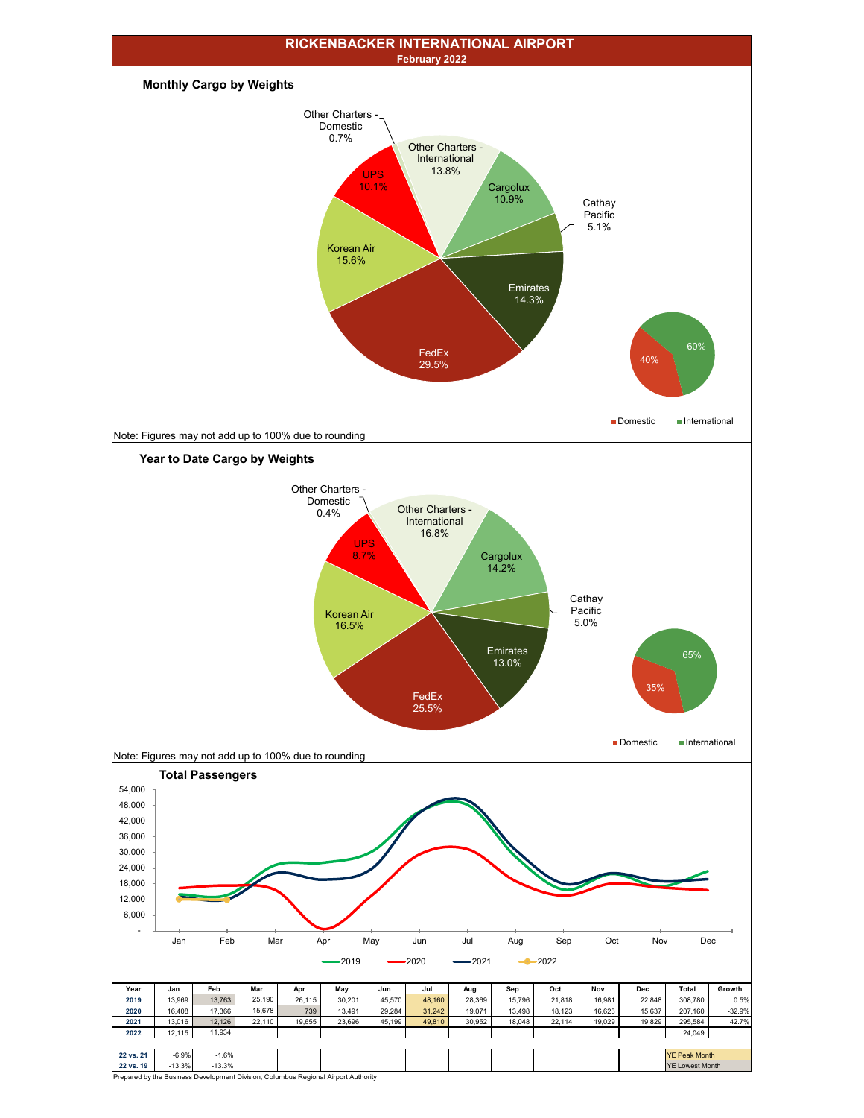

Prepared by the Business Development Division, Columbus Regional Airport Authority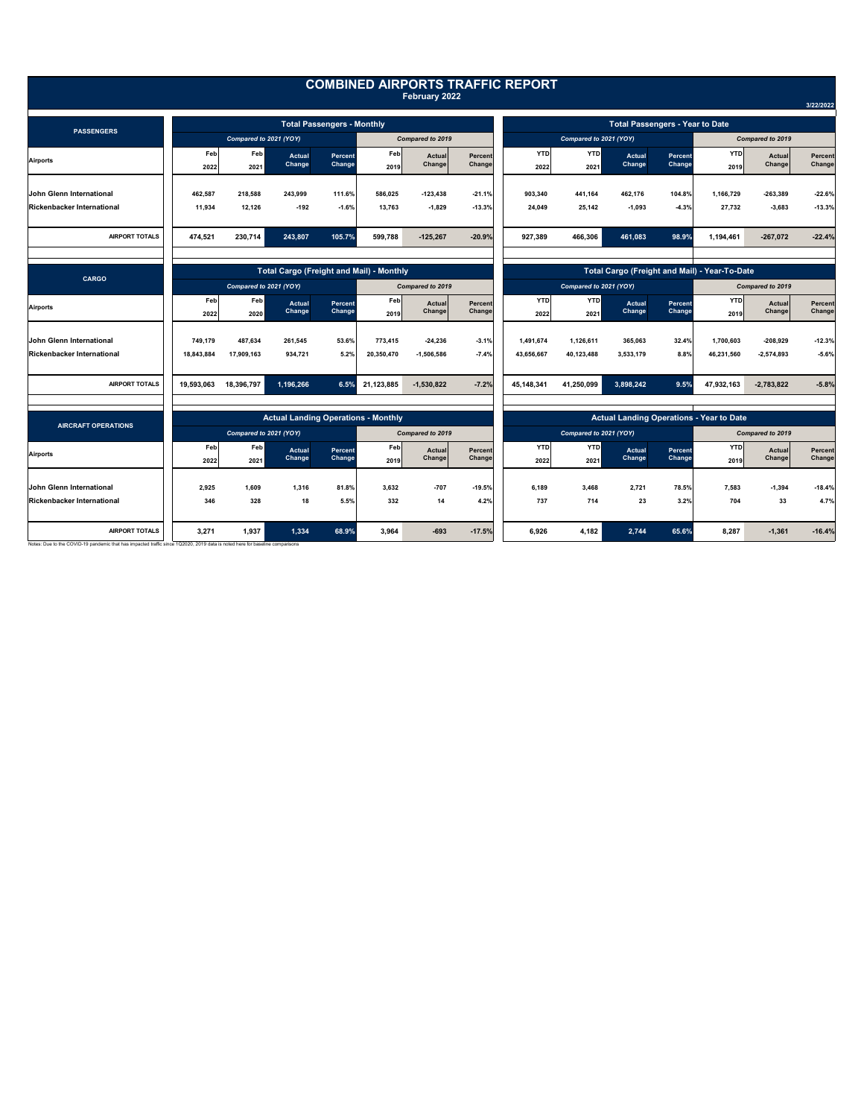|                                                                                                                                                       |                                                 |             |                  |                   |                  |                                                 |                                               | <b>COMBINED AIRPORTS TRAFFIC REPORT</b>            |                    |                  |                   |                    |                  |                   |
|-------------------------------------------------------------------------------------------------------------------------------------------------------|-------------------------------------------------|-------------|------------------|-------------------|------------------|-------------------------------------------------|-----------------------------------------------|----------------------------------------------------|--------------------|------------------|-------------------|--------------------|------------------|-------------------|
|                                                                                                                                                       |                                                 |             |                  |                   |                  | February 2022                                   |                                               |                                                    |                    |                  |                   |                    |                  | 3/22/2022         |
| <b>PASSENGERS</b>                                                                                                                                     | <b>Total Passengers - Monthly</b>               |             |                  |                   |                  |                                                 | <b>Total Passengers - Year to Date</b>        |                                                    |                    |                  |                   |                    |                  |                   |
|                                                                                                                                                       | Compared to 2021 (YOY)                          |             |                  | Compared to 2019  |                  |                                                 | Compared to 2021 (YOY)                        |                                                    |                    |                  | Compared to 2019  |                    |                  |                   |
| <b>Airports</b>                                                                                                                                       | Feb<br>2022                                     | Feb<br>2021 | Actual<br>Change | Percent<br>Change | Feb<br>2019      | Actual<br>Change                                | Percent<br>Change                             | <b>YTD</b><br>2022                                 | <b>YTD</b><br>2021 | Actual<br>Change | Percent<br>Change | <b>YTD</b><br>2019 | Actual<br>Change | Percent<br>Change |
| <b>John Glenn International</b>                                                                                                                       | 462.587                                         | 218,588     | 243.999          | 111.6%            | 586.025          | $-123.438$                                      | $-21.1%$                                      | 903.340                                            | 441.164            | 462.176          | 104.8%            | 1.166.729          | $-263.389$       | $-22.6%$          |
| <b>Rickenbacker International</b>                                                                                                                     | 11,934                                          | 12,126      | $-192$           | $-1.6%$           | 13,763           | $-1,829$                                        | $-13.3%$                                      | 24,049                                             | 25,142             | $-1,093$         | $-4.3%$           | 27,732             | $-3,683$         | $-13.3%$          |
| <b>AIRPORT TOTALS</b>                                                                                                                                 | 474,521                                         | 230,714     | 243,807          | 105.7%            | 599,788          | $-125,267$                                      | $-20.9%$                                      | 927,389                                            | 466,306            | 461,083          | 98.9%             | 1,194,461          | $-267,072$       | $-22.4%$          |
| <b>CARGO</b>                                                                                                                                          | <b>Total Cargo (Freight and Mail) - Monthly</b> |             |                  |                   |                  |                                                 | Total Cargo (Freight and Mail) - Year-To-Date |                                                    |                    |                  |                   |                    |                  |                   |
|                                                                                                                                                       | Compared to 2021 (YOY)                          |             |                  |                   | Compared to 2019 |                                                 |                                               | Compared to 2021 (YOY)                             |                    |                  |                   | Compared to 2019   |                  |                   |
| <b>Airports</b>                                                                                                                                       | Feb<br>2022                                     | Feb<br>2020 | Actual<br>Change | Percent<br>Change | Feb<br>2019      | Actual<br>Change                                | Percent<br>Change                             | <b>YTD</b><br>2022                                 | <b>YTD</b><br>2021 | Actual<br>Change | Percent<br>Change | <b>YTD</b><br>2019 | Actual<br>Change | Percent<br>Change |
| John Glenn International                                                                                                                              | 749.179                                         | 487,634     | 261,545          | 53.6%             | 773,415          | $-24,236$                                       | $-3.1%$                                       | 1.491.674                                          | 1.126.611          | 365,063          | 32.4%             | 1.700.603          | $-208.929$       | $-12.3%$          |
| <b>Rickenbacker International</b>                                                                                                                     | 18,843,884                                      | 17,909,163  | 934,721          | 5.2%              | 20,350,470       | $-1,506,586$                                    | $-7.4%$                                       | 43,656,667                                         | 40,123,488         | 3,533,179        | 8.8%              | 46,231,560         | $-2,574,893$     | $-5.6%$           |
| <b>AIRPORT TOTALS</b>                                                                                                                                 | 19,593,063                                      | 18,396,797  | 1,196,266        | 6.5%              | 21,123,885       | $-1,530,822$                                    | $-7.2%$                                       | 45,148,341                                         | 41,250,099         | 3,898,242        | 9.5%              | 47,932,163         | $-2,783,822$     | $-5.8%$           |
|                                                                                                                                                       |                                                 |             |                  |                   |                  |                                                 |                                               |                                                    |                    |                  |                   |                    |                  |                   |
| <b>AIRCRAFT OPERATIONS</b>                                                                                                                            | <b>Actual Landing Operations - Monthly</b>      |             |                  |                   |                  | <b>Actual Landing Operations - Year to Date</b> |                                               |                                                    |                    |                  |                   |                    |                  |                   |
|                                                                                                                                                       | Compared to 2021 (YOY)                          |             |                  | Compared to 2019  |                  |                                                 |                                               | Compared to 2021 (YOY)<br><b>YTD</b><br><b>YTD</b> |                    |                  | <b>YTD</b>        | Compared to 2019   |                  |                   |
| <b>Airports</b>                                                                                                                                       | Feb<br>2022                                     | Feb<br>2021 | Actual<br>Change | Percent<br>Change | Feb<br>2019      | Actual<br>Change                                | Percent<br>Change                             | 2022                                               | 2021               | Actual<br>Change | Percent<br>Change | 2019               | Actual<br>Change | Percent<br>Change |
| <b>John Glenn International</b>                                                                                                                       | 2.925                                           | 1.609       | 1.316            | 81.8%             | 3.632            | $-707$                                          | $-19.5%$                                      | 6.189                                              | 3.468              | 2,721            | 78.5%             | 7.583              | $-1,394$         | $-18.4%$          |
| <b>Rickenbacker International</b>                                                                                                                     | 346                                             | 328         | 18               | 5.5%              | 332              | 14                                              | 4.2%                                          | 737                                                | 714                | 23               | 3.2%              | 704                | 33               | 4.7%              |
| <b>AIRPORT TOTALS</b><br>Notes: Due to the COVID-19 pandemic that has impacted traffic since 1Q2020, 2019 data is noted here for baseline comparisons | 3,271                                           | 1,937       | 1,334            | 68.9%             | 3,964            | $-693$                                          | $-17.5%$                                      | 6,926                                              | 4,182              | 2,744            | 65.6%             | 8.287              | $-1,361$         | $-16.4%$          |